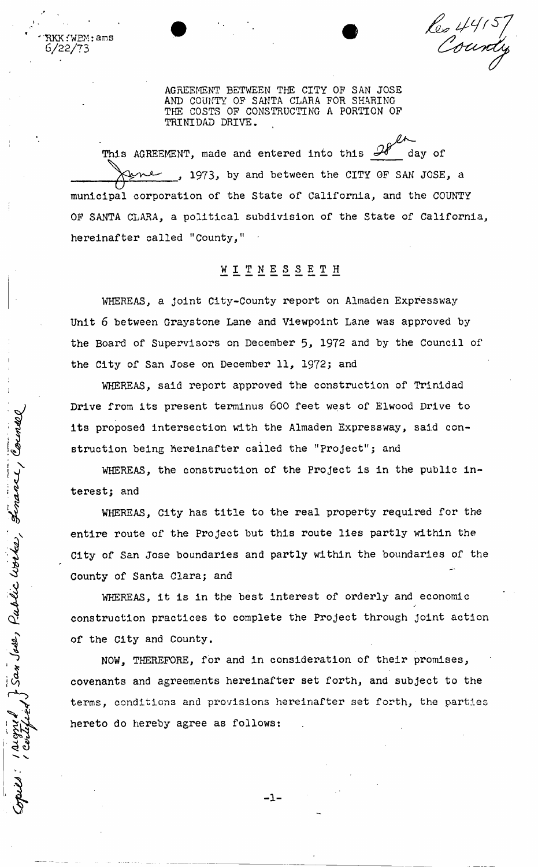Res 44157

AGREEMENT BETWEEN THE CITY OP SAN JOSE AND COUNTY OP SANTA CLARA POR SHARING THE COSTS OP CONSTRUCTING A PORTION OP TRINIDAD DRIVE.

 $\mathtt{R}\mathtt{K}\mathtt{K}$ : W $\mathtt{EM}$ : ams 6/22/73

> This AGREEMENT, made and entered into this  $\mathcal{H}$  day of , 1973, by and between the CITY OF SAN JOSE, a municipal corporation of the State of California, and the COUNTY OP SANTA CLARA, a political subdivision of the State of California, hereinafter called "County,"

## **WI^nesset h**

WHEREAS, a joint City-County report on Almaden Expressway Unit 6 between Graystone Lane and Viewpoint Lane was approved by the Board of Supervisors on December 5, 1972 and by the Council of the City of San Jose on December 11, 1972; and

WHEREAS, said report approved the construction of Trinidad Drive from its present terminus 600 feet west of Elwood Drive to its proposed intersection with the Almaden Expressway, said construction being hereinafter called the "Project"; and

WHEREAS, the construction of the Project is in the public interest; and

WHEREAS, City has title to the real property required for the vision being the proposed intersection with the Almaden Expressway, said construction being hereinanter called the "Project is in the public intersect; and WHEREAS, the construction of the Project is in the public intersec City of San Jose boundaries and partly within the boundaries of the County of Santa Clara; and

WHEREAS, it is in the best interest of orderly and economic construction practices to complete the Project through joint action of the City and County.

NOW, THEREFORE, for and in consideration of their promises, covenants and agreements hereinafter set forth, and subject to the terms, conditions and provisions hereinafter set forth, the parties hereto do hereby agree as follows:

**- 1 -**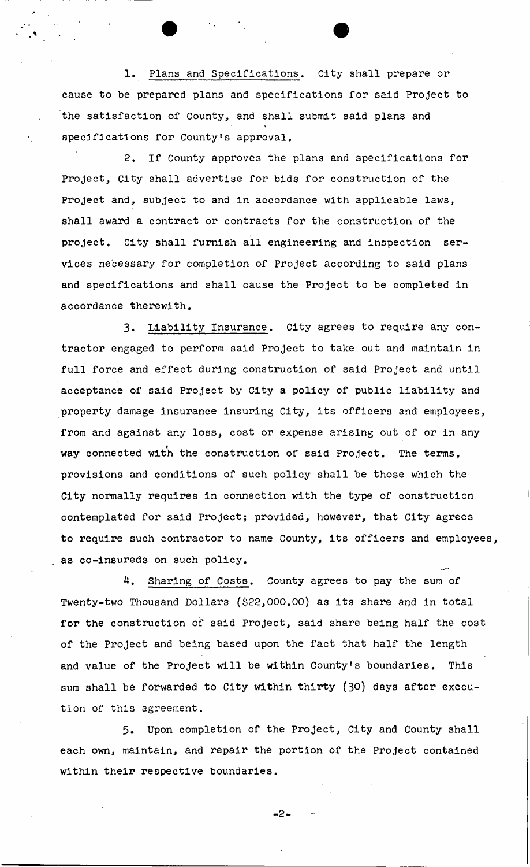1. Plans and Specifications. City shall prepare or cause to be prepared plans and specifications for said Project to the satisfaction of County, and shall submit said plans and specifications for County's approval.

2. If County approves the plans and specifications for Project, City shall advertise for bids for construction of the Project and, subject to and in accordance with applicable laws, shall award a contract or contracts for the construction of the project. City shall furnish all engineering and inspection services necessary for completion of Project according to said plans and specifications and shall cause the Project to be completed in accordance therewith.

3. Liability Insurance. City agrees to require any contractor engaged to perform said Project to take out and maintain in full force and effect during construction of said Project and until acceptance of said Project by City a policy of public liability and property damage insurance insuring City, its officers and employees, from and against any loss, cost or expense arising out of or in any way connected with the construction of said Project. The terms, provisions and conditions of such policy shall be those which the City normally requires in connection with the type of construction contemplated for said Project; provided, however, that City agrees to require such contractor to name County, its officers and employees, as co-insureds on such policy.

4. Sharing of Costs. County agrees to pay the sum of Twenty-two Thousand Dollars (\$22,000.00) as its share and in total for the construction of said Project, said share being half the cost of the Project and being based upon the fact that half the length and value of the Project will be within County's boundaries. This sum shall be forwarded to City within thirty (30) days after execution of this agreement.

5. Upon completion of the Project, City and County shall each own, maintain, and repair the portion of the Project contained within their respective boundaries.

 $-2-$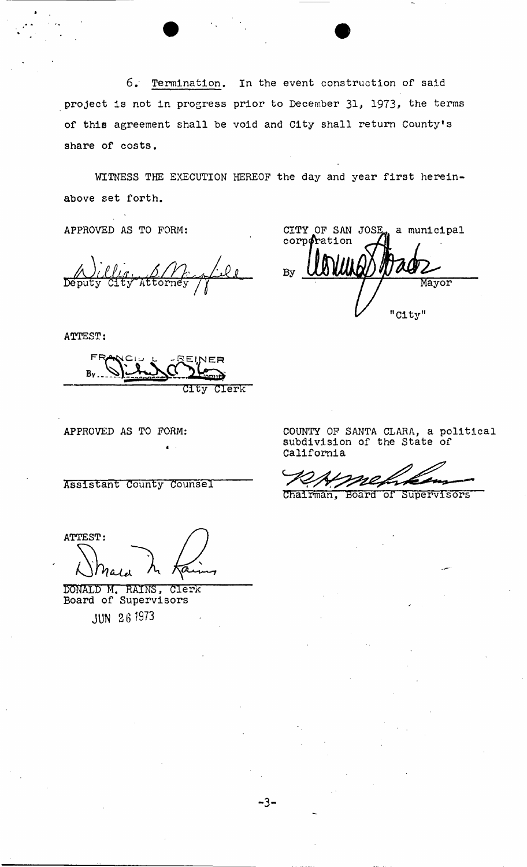**6. Termination, In the event construction of said project is not in progress prior to December 31> 1973, the terms of this agreement shall he void and City shall return County's share of costs.** 

**WITNESS THE EXECUTION HEREOF the day and year first hereinabove set forth.** 

**- 3 -**

APPROVED AS TO FORM:

ATTEST:

FRA^Ci-' l. -SEI**.MER**   $B_v$ . **City Clerk** 

4

APPROVED AS TO FORM:

**Assistant County counsel** 

ATTEST:

DONALD M. RAINS, Clerk<br>Board of Supervisors **JUN 26 1973** 

COUNTY OF SANTA CLARA, a political subdivision of the State of California

CITY OF SAN JOSE, a municipal

Mayor

"City"

corporation

 $By \bigcup$ 

**Chairman, Board or supervisors**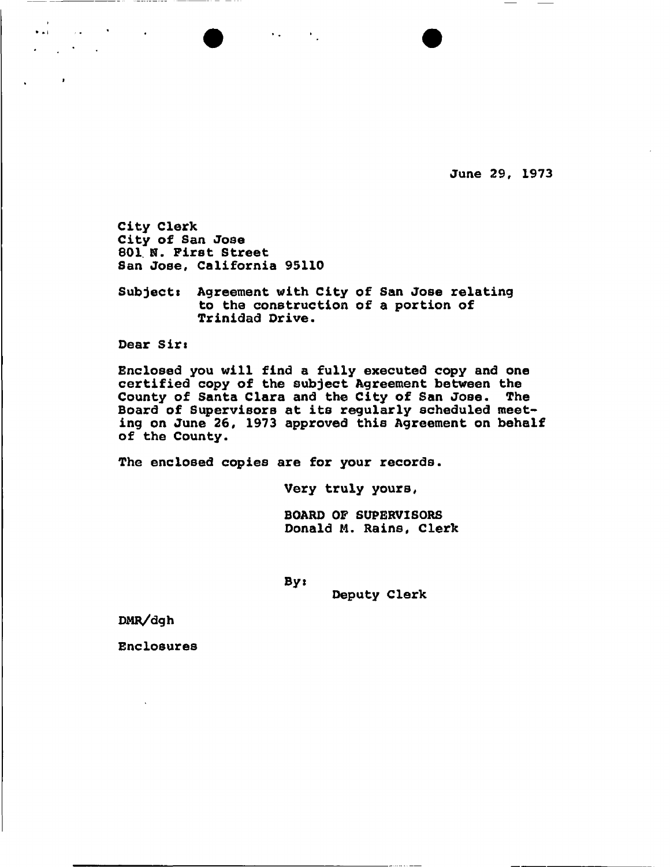**June 29, 1973** 

**City Clerk City of San Jose**  801 N. First Street **San Jose, California 95110** 

**Subject! Agreement with City of San Jose relating to the construction of a portion of Trinidad Drive.** 

 $\bullet$  •  $\bullet$  •  $\bullet$  •  $\bullet$ 

**Dear Sirs** 

 $\bullet$  at

 $\mathcal{L}^{\text{max}}$  and  $\mathcal{L}^{\text{max}}$ 

**Enclosed you will find a fully executed copy and one certified copy of the subject Agreement between the County of Santa Clara and the City of San Jose. The Board of Supervisors at its regularly scheduled meeting on June 26, 1973 approved this Agreement on behalf of the County.** 

**The enclosed copies are for your records.** 

**Very truly yours,** 

**BOARD OF SUPERVISORS Donald M. Rains, Clerk** 

Byi

**Deputy Clerk** 

**DMR/dgh** 

**Enclosures**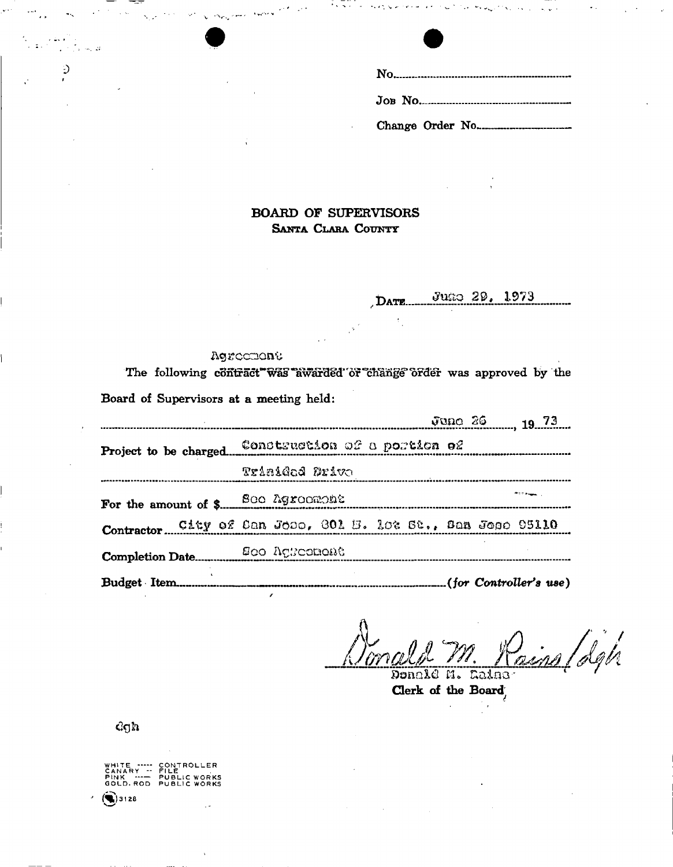

**BOARD OF SUPERVISORS** SANTA CLARA COUNTY

> Juno 29, 1973 DATE...

#### Agrectione

The following contract was awarded or change order was approved by the Board of Supervisors at a meeting held:

| June 26 19 73                                               |                            |  |  |  |  |  |  |
|-------------------------------------------------------------|----------------------------|--|--|--|--|--|--|
|                                                             |                            |  |  |  |  |  |  |
| Trinided Drive                                              |                            |  |  |  |  |  |  |
|                                                             | <b><i>Profit Angel</i></b> |  |  |  |  |  |  |
| Contractor City of Can Jose, 301 E. 102 St., San Jose 95110 |                            |  |  |  |  |  |  |
|                                                             |                            |  |  |  |  |  |  |
|                                                             |                            |  |  |  |  |  |  |

dina/dgh

Donald M. Caine Clerk of the Board

 $\log n$ 

.<br>Se

Ć

WHITE ----- CONTROLLER<br>CANARY -- FILE<br>PINK --- PUBLIC WORKS<br>GOLD.ROD PUBLIC WORKS  $93128$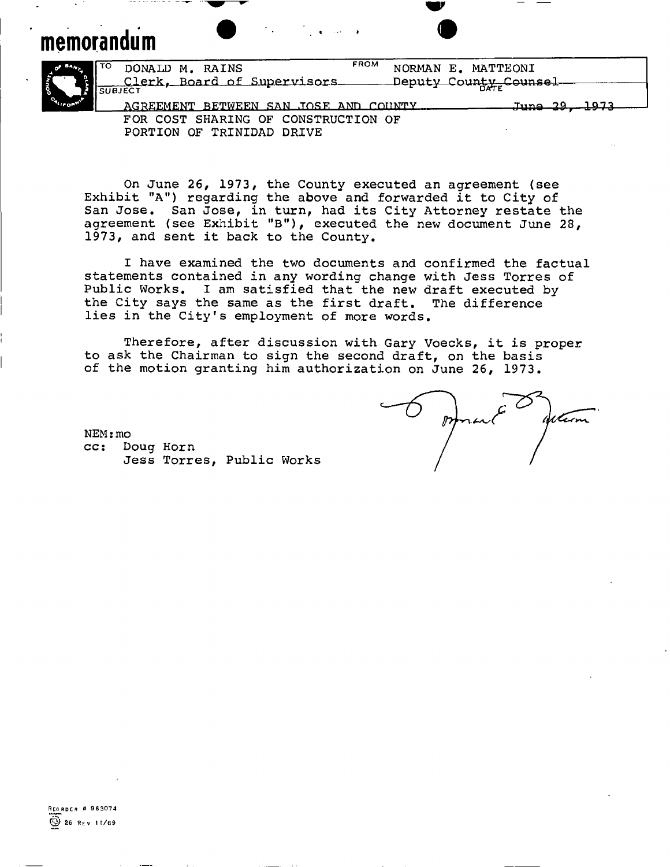# memorandum **and a structure of the structure of the structure of the structure of the structure of the structure**



**TO DONALD M. RAINS**  — Clerk, Board of Supervisors<br><sup>SUBJECT</sup> FROM **NORMAN E. MATTEONI**  Deputy County Counsel AGREEMENT BETWEEN SAN .TOST? &Mn rnnwrv **June 39, 1973 FOR COST SHARING OF CONSTRUCTION OF** 

w

**PORTION OF TRINIDAD DRIVE** 

**On June 26, 1973, the County executed an agreement (see Exhibit "A") regarding the above and forwarded it to City of San Jose. San Jose, in turn, had its City Attorney restate the agreement (see Exhibit "B"), executed the new document June 28, 1973, and sent it back to the County.** 

**I have examined the two documents and confirmed the factual statements contained in any wording change with Jess Torres of Public Works. I am satisfied that the new draft executed by the City says the same as the first draft. The difference lies in the City's employment of more words.** 

**Therefore, after discussion with Gary Voecks, it is proper to ask the Chairman to sign the second draft, on the basis of the motion granting him authorization on June 26, 1973.** 

 $\mathbb{Z}$ Warn

 $NEM$ **:** mo **cc: Doug Horn Jess Torres, Public Works**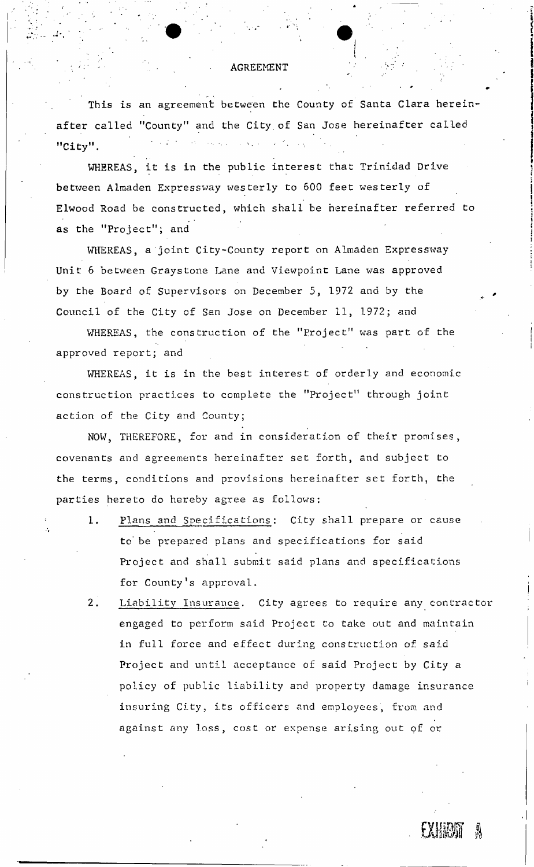#### AGREEMENT

This is an agreement between the County of Santa Clara hereinafter called "County" and the City.of San Jose hereinafter called "City".

WHEREAS, it is in the public interest that Trinidad Drive between Almaden Expressway westerly to 600 feet westerly of Elwood Road be constructed, which shall be hereinafter referred to as the "Project"; and

WHEREAS, a joint City-County report on Almaden Expressway Unit 6 between Grays tone Lane and Viewpoint Lane was approved by the Board of Supervisors on December 5, 1972 and by the Council of the City of San Jose on December 11, 1972; and

WHEREAS, the construction of the "Project" was part of the approved report; and

WHEREAS, it is in the best interest of orderly and economic construction practices to complete the "Project" through joint action of the City and County;

NOW, THEREFORE, for and in consideration of their promises, covenants and agreements hereinafter set forth, and subject to the terms, conditions and provisions hereinafter set forth, the parties hereto do hereby agree as follows:

- 1. Plans and Specifications: City shall prepare or cause to' be prepared plans and specifications for said Project and shall submit said plans and specifications for County <sup>1</sup>s approval.
- 2. Liability Insurance. City agrees to require any contractor engaged to perform said Project to take out and maintain in full force and effect during construction of said Project and until acceptance of said Project by City a policy of public liability and property damage insurance insuring City, its officers and employees, from and against any loss, cost or expense arising out of or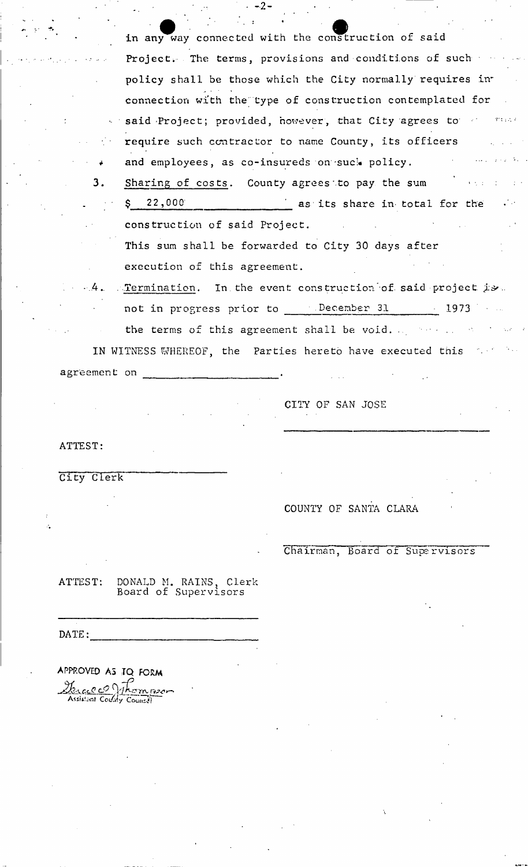in any way connected with the construction of said Project. The terms, provisions and conditions of such policy shall be those which the City normally requires inconnection with the type of construction contemplated for said Project; provided, however, that City agrees to an anal require such contractor to name County, its officers and employees, as co-insureds on suck policy.

 $-2-$ 

- 3. Sharing of costs. County agrees to pay the sum  $\angle$  as its share in total for the 22,000 construction of said Project. This sum shall be forwarded to City 30 days after execution of this agreement.
- . Termination. In the event construction of said project is.  $\cdot$  4. not in progress prior to December 31 1973 the terms of this agreement shall be void.

IN WITNESS WHEREOF, the Parties hereto have executed this agreement on

CITY OF SAN JOSE

ATTEST:

City Clerk

COUNTY OF SANTA CLARA

Chairman, Board of Supervisors

DONALD M. RAINS, Clerk<br>Board of Supervisors ATTEST:

 $\texttt{DATE:}$ 

APPROVED AS JQ FORM <u>Marcel Of Thompson</u>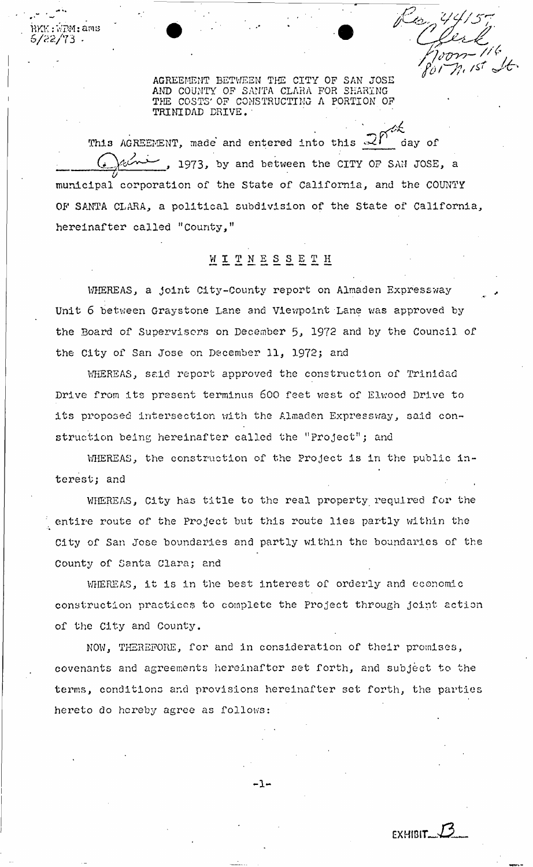$RKK: VPM:$  ams **S/22/73 -**

> AGREEMENT BETWEEN THE CITY OF SAN JOSE AND COUNTY OP SANTA CLARA FOR SHARING THE COSTS' OP CONSTRUCTING A PORTION OF TRINIDAD DRIVE.'

*fo & J't* 

This AGREEMENT, made and entered into this  $\mathcal{R}$  day of ( T V **, 1973, by and between the** CITY OP SAM JOSE, **a**   $\vec{v}$ municipal corporation of the State of California, and the COUNTY OF SANTA CLARA, a political subdivision of the State of California, hereinafter called "County,"

## WIT N E S S E T H

WHEREAS, a joint City-County report on Almaden Expressway Unit 6 between Grays tone Lane and Viewpoint Lane was approved by the Board of Supervisors on December 5, 1972 and by the Council of the City of San Jose on December 11, 1972; and

WHEREAS, said report approved the construction of Trinidad Drive from its present terminus 600 feet west of Elwood Drive to its proposed intersection with the Almaden Expressway, said construction being hereinafter called the "project"; and

WHEREAS, the construction of the Project is in the public interest; and

WHEREAS, City has title to the real property required for the entire route of the Project but this route lies partly within the City of San Jose boundaries and partly within the boundaries of the County of Santa Clara; and

WHEREAS, it is in the best interest of orderly and economic construction practiccs to complete the Project through joint action of the City and County,

NOW, THEREFORE, for and in consideration of their promises, covenants and agreements hereinafter set forth, and subject to the terms, conditions and provisions hereinafter set forth, the parties hereto do hereby agree as follows:

**- 1 -**

EXHIBIT*~J3-*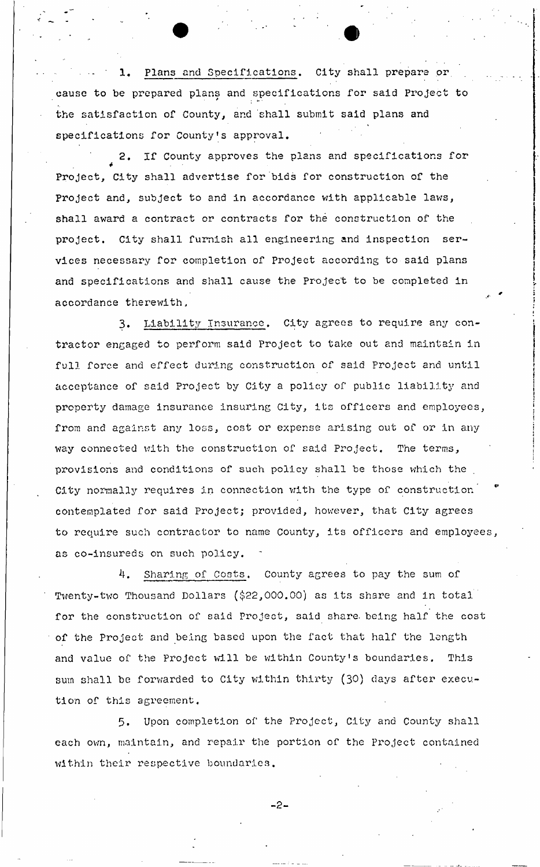1. Plans and Specifications. City shall prepare or cause to be prepared plans and specifications for said Project to the satisfaction of County, and 'shall submit said plans and specifications for County's approval.

2. If County approves the plans and specifications for *\**  Project, City shall advertise for bids for construction of the Project and, subject to and in accordance with applicable laws, shall award a contract or contracts for the construction of the project. City shall furnish all engineering and inspection services necessary for completion of Project according to said plans and specifications and shall cause the Project to be completed in  $\alpha$ 

3. Liability Insurance. City agrees to require any contractor engaged to perform said Project to take out and maintain in full force and effect during construction of said Project and until acceptance of said Project by City a policy of public liability and property damage insurance insuring City, its officers and employees, from and against any loss, cost or expense arising out of or in any way connected with the construction of said Project. The terms, provisions and conditions of such policy shall be those which the City normally requires in connection with the type of construction contemplated for said Project; provided, however, that City agrees to require such contractor to name County, its officers and employees, as co-insureds on such policy.

4. Sharing of Costs. County agrees to pay the sum of Twenty-two Thousand Dollars (\$22,000.00) as its share and in total for the construction of said Project, said share, being half the cost of the Project and being based upon the fact that half the length and value of the Project will be within County's boundaries. This sum shall be forwarded to City within thirty (30) days after execution of this agreement.

5. Upon completion of the Project, City and County shall each own, maintain, and repair the portion of the Project contained within their respective boundaries.

 $-2-$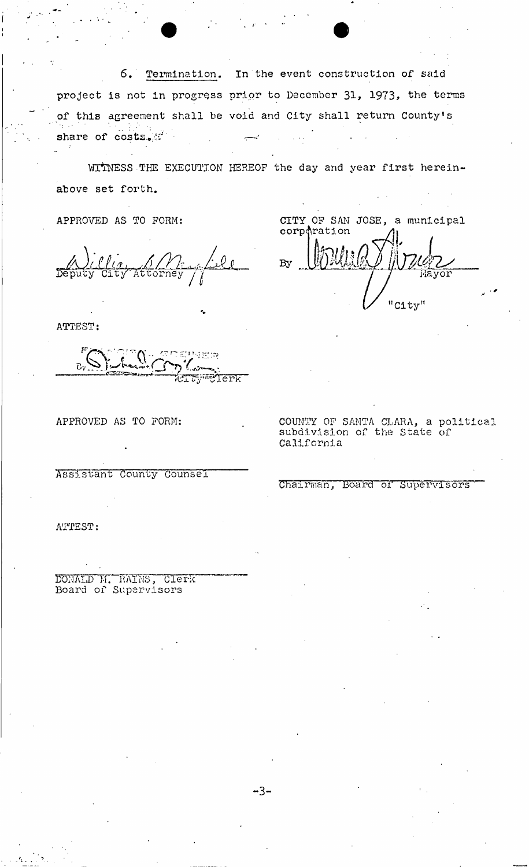6. Termination. In the event construction of said project is not in progress prior to December 31, 1973, the terms of this agreement shall be void and City shall return County's share of costs...

WITNESS THE EXECUTION HEREOF the day and year first hereinabove set forth.

APPROVED AS TO FORM:

*dluU^A*  Deputy Cit/ Attorney **£jl**  */I* 

ATTEST:

 $\overline{c}$  $\bar{\tau}$ y T $\bar{\tau}$ Terk $^-$ 

Assistant County CounseT

CITY OP SAN JOSE, a municipal  $\mathsf{corp}$  $\uparrow$ ration  $\land$ 

By **Billich My Johnson** "City"

APPROVED AS TO FORM: The COUNTY OF SANTA CLARA, a political subdivision of the State of California

### 'Chairman, Board of Supervisors

ATTEST:

DONALD M. RAINS, Clerk Board of Supervisors

**- 3 -**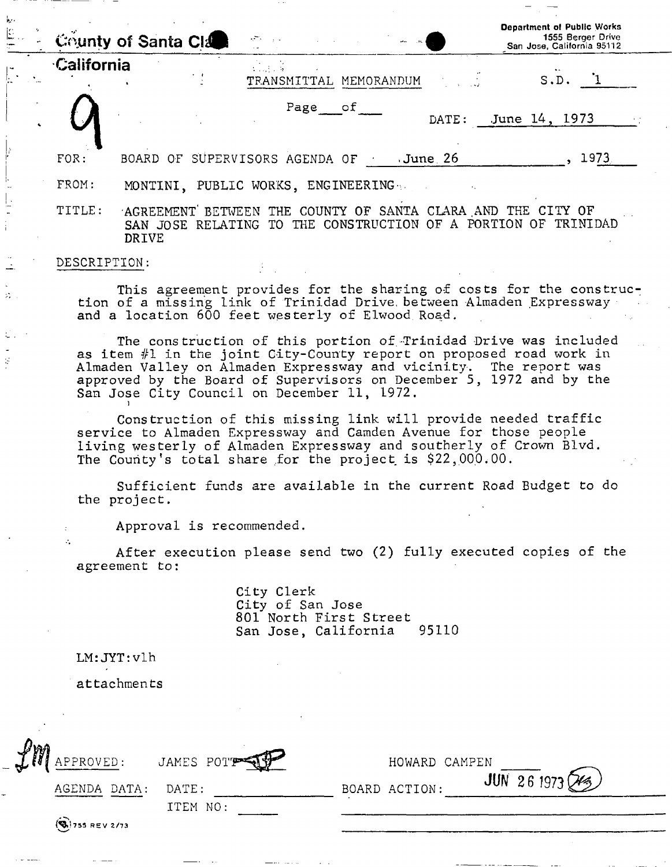|              | County of Santa Cla        | $\mathcal{A}^{\text{max}}_{\text{max}}$ , where $\mathcal{A}^{\text{max}}_{\text{max}}$                        | $\omega_{\rm m} = \omega_{\rm m}$ | <b>Department of Public Works</b><br>1555 Berger Drive<br>San Jose, California 95112                        |
|--------------|----------------------------|----------------------------------------------------------------------------------------------------------------|-----------------------------------|-------------------------------------------------------------------------------------------------------------|
| California   |                            | $\mathcal{L}^{\text{max}}$ , $\mathcal{L}^{\text{max}}$ , $\mathcal{L}^{\text{max}}$<br>TRANSMITTAL MEMORANDUM |                                   | S.D.                                                                                                        |
|              |                            | Page of                                                                                                        | DATE:                             | June 14, 1973                                                                                               |
| FOR:         |                            | BOARD OF SUPERVISORS AGENDA OF                                                                                 | June 26 ،                         | 1973.                                                                                                       |
| FROM:        |                            | MONTINI, PUBLIC WORKS, ENGINEERING                                                                             |                                   |                                                                                                             |
| TITLE:       | SAN JOSE RELATING<br>DRIVE | TO                                                                                                             |                                   | AGREEMENT BETWEEN THE COUNTY OF SANTA CLARA AND THE CITY OF<br>THE CONSTRUCTION OF A PORTION OF<br>TRINIDAD |
| DESCRIPTION: |                            |                                                                                                                |                                   |                                                                                                             |

This agreement provides for the sharing of costs for the construction of a missing link of Trinidad Drive, between Almaden Expressway and a location 600 feet westerly of Elwood Road.

The construction of this portion of-Trinidad Drive was included as item #1 in the joint City-County report on proposed road work in Almaden Valley on Almaden Expressway and vicinity. The report was approved by the Board of Supervisors on December 5, 1972 and by the San Jose City Council on December 11, 1972.

Construction of this missing link will provide needed traffic service to Almaden Expressway and Camden Avenue for those people living westerly of Almaden Expressway and southerly of Crown Blvd. The County's total share for the project is \$22,000.00.

Sufficient funds are available in the current Road Budget to do the project.

Approval is recommended.

After execution please send two (2) fully executed copies of the agreement to:

> City Clerk City of San Jose 801 North First Street<br>San Jose, California 95110 San Jose, California

LM:JYT:vlh

 $\ddot{\phi}$ 

attachments

| $\mathcal{L}^m$ | APPROVED:                | JAMES POTT        | HOWARD CAMPEN |                       |
|-----------------|--------------------------|-------------------|---------------|-----------------------|
|                 | AGENDA DATA:             | DATE:<br>ITEM NO: | BOARD ACTION: | $JUN$ 26 1973 $(X_2)$ |
|                 | $\left( 9, 755$ REV 2/73 |                   |               |                       |